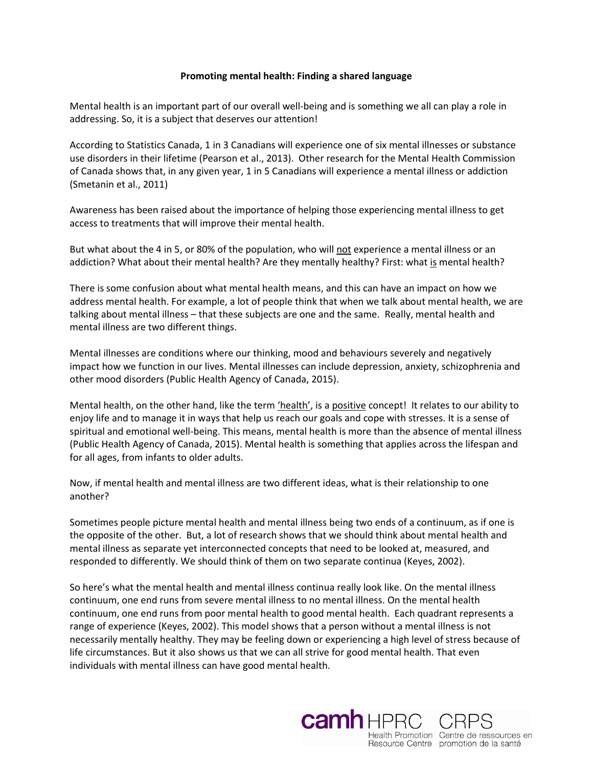## **Promoting mental health: Finding a shared language**

Mental health is an important part of our overall well-being and is something we all can play a role in addressing. So, it is a subject that deserves our attention!

According to Statistics Canada, 1 in 3 Canadians will experience one of six mental illnesses or substance use disorders in their lifetime (Pearson et al., 2013). Other research for the Mental Health Commission of Canada shows that, in any given year, 1 in 5 Canadians will experience a mental illness or addiction (Smetanin et al., 2011)

Awareness has been raised about the importance of helping those experiencing mental illness to get access to treatments that will improve their mental health.

But what about the 4 in 5, or 80% of the population, who will not experience a mental illness or an addiction? What about their mental health? Are they mentally healthy? First: what is mental health?

There is some confusion about what mental health means, and this can have an impact on how we address mental health. For example, a lot of people think that when we talk about mental health, we are talking about mental illness – that these subjects are one and the same. Really, mental health and mental illness are two different things.

Mental illnesses are conditions where our thinking, mood and behaviours severely and negatively impact how we function in our lives. Mental illnesses can include depression, anxiety, schizophrenia and other mood disorders (Public Health Agency of Canada, 2015).

Mental health, on the other hand, like the term 'health', is a positive concept! It relates to our ability to enjoy life and to manage it in ways that help us reach our goals and cope with stresses. It is a sense of spiritual and emotional well-being. This means, mental health is more than the absence of mental illness (Public Health Agency of Canada, 2015). Mental health is something that applies across the lifespan and for all ages, from infants to older adults.

Now, if mental health and mental illness are two different ideas, what is their relationship to one another?

Sometimes people picture mental health and mental illness being two ends of a continuum, as if one is the opposite of the other. But, a lot of research shows that we should think about mental health and mental illness as separate yet interconnected concepts that need to be looked at, measured, and responded to differently. We should think of them on two separate continua (Keyes, 2002).

So here's what the mental health and mental illness continua really look like. On the mental illness continuum, one end runs from severe mental illness to no mental illness. On the mental health continuum, one end runs from poor mental health to good mental health. Each quadrant represents a range of experience (Keyes, 2002). This model shows that a person without a mental illness is not necessarily mentally healthy. They may be feeling down or experiencing a high level of stress because of life circumstances. But it also shows us that we can all strive for good mental health. That even individuals with mental illness can have good mental health.

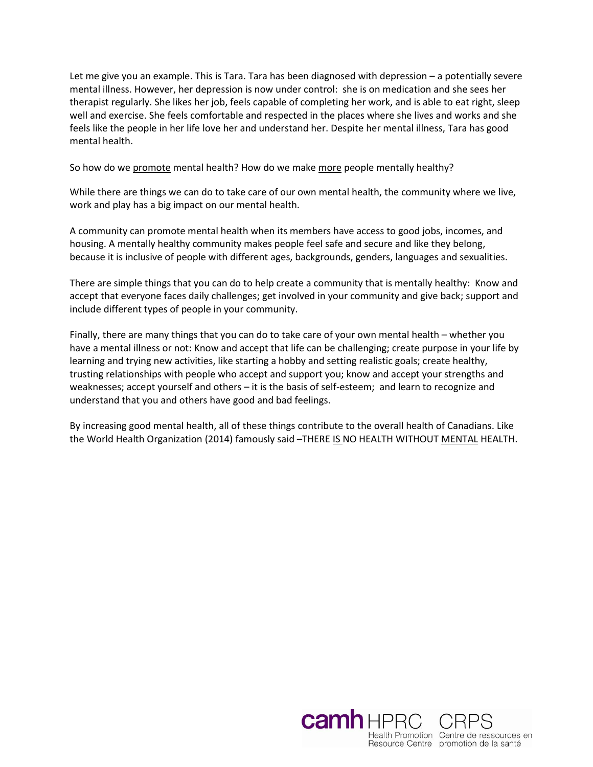Let me give you an example. This is Tara. Tara has been diagnosed with depression – a potentially severe mental illness. However, her depression is now under control: she is on medication and she sees her therapist regularly. She likes her job, feels capable of completing her work, and is able to eat right, sleep well and exercise. She feels comfortable and respected in the places where she lives and works and she feels like the people in her life love her and understand her. Despite her mental illness, Tara has good mental health.

So how do we promote mental health? How do we make more people mentally healthy?

While there are things we can do to take care of our own mental health, the community where we live, work and play has a big impact on our mental health.

A community can promote mental health when its members have access to good jobs, incomes, and housing. A mentally healthy community makes people feel safe and secure and like they belong, because it is inclusive of people with different ages, backgrounds, genders, languages and sexualities.

There are simple things that you can do to help create a community that is mentally healthy: Know and accept that everyone faces daily challenges; get involved in your community and give back; support and include different types of people in your community.

Finally, there are many things that you can do to take care of your own mental health – whether you have a mental illness or not: Know and accept that life can be challenging; create purpose in your life by learning and trying new activities, like starting a hobby and setting realistic goals; create healthy, trusting relationships with people who accept and support you; know and accept your strengths and weaknesses; accept yourself and others – it is the basis of self-esteem; and learn to recognize and understand that you and others have good and bad feelings.

By increasing good mental health, all of these things contribute to the overall health of Canadians. Like the World Health Organization (2014) famously said –THERE IS NO HEALTH WITHOUT MENTAL HEALTH.